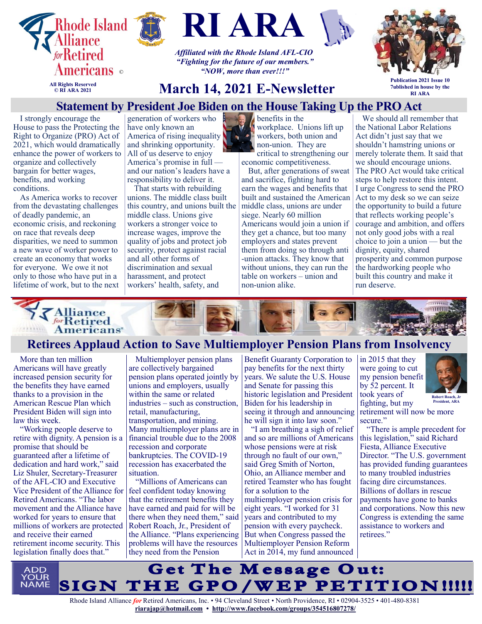



**RI ARA**

*Affiliated with the Rhode Island AFL-CIO "Fighting for the future of our members." "NOW, more than ever!!!"*



**All Rights Reserved © RI ARA 2021**

# **March 14, 2021 E-Newsletter**

**Publication 2021 Issue 10 7ublished in house by the RI ARA**

## **Statement by President Joe Biden on the House Taking Up the PRO Act**

I strongly encourage the House to pass the Protecting the Right to Organize (PRO) Act of 2021, which would dramatically enhance the power of workers to organize and collectively bargain for better wages, benefits, and working conditions.

As America works to recover from the devastating challenges of deadly pandemic, an economic crisis, and reckoning on race that reveals deep disparities, we need to summon a new wave of worker power to create an economy that works for everyone. We owe it not only to those who have put in a lifetime of work, but to the next generation of workers who have only known an America of rising inequality and shrinking opportunity. All of us deserve to enjoy America's promise in full and our nation's leaders have a responsibility to deliver it.

That starts with rebuilding unions. The middle class built this country, and unions built the middle class. Unions give workers a stronger voice to increase wages, improve the quality of jobs and protect job security, protect against racial and all other forms of discrimination and sexual harassment, and protect workers' health, safety, and

**benefits** in the workplace. Unions lift up workers, both union and non-union. They are critical to strengthening our economic competitiveness.

But, after generations of sweat and sacrifice, fighting hard to earn the wages and benefits that built and sustained the American middle class, unions are under siege. Nearly 60 million Americans would join a union if they get a chance, but too many employers and states prevent them from doing so through anti -union attacks. They know that without unions, they can run the table on workers – union and non-union alike.

We should all remember that the National Labor Relations Act didn't just say that we shouldn't hamstring unions or merely tolerate them. It said that we should encourage unions. The PRO Act would take critical steps to help restore this intent. I urge Congress to send the PRO Act to my desk so we can seize the opportunity to build a future that reflects working people's courage and ambition, and offers not only good jobs with a real choice to join a union — but the dignity, equity, shared prosperity and common purpose the hardworking people who built this country and make it run deserve.



### **Retirees Applaud Action to Save Multiemployer Pension Plans from Insolvency**

More than ten million Americans will have greatly increased pension security for the benefits they have earned thanks to a provision in the American Rescue Plan which President Biden will sign into law this week.

"Working people deserve to retire with dignity. A pension is a promise that should be guaranteed after a lifetime of dedication and hard work," said Liz Shuler, Secretary-Treasurer of the AFL-CIO and Executive Vice President of the Alliance for Retired Americans. "The labor movement and the Alliance have worked for years to ensure that millions of workers are protected and receive their earned retirement income security. This legislation finally does that."

Multiemployer pension plans are collectively bargained pension plans operated jointly by unions and employers, usually within the same or related industries – such as construction, retail, manufacturing, transportation, and mining. Many multiemployer plans are in financial trouble due to the 2008 recession and corporate bankruptcies. The COVID-19 recession has exacerbated the situation.

"Millions of Americans can feel confident today knowing that the retirement benefits they have earned and paid for will be there when they need them," said Robert Roach, Jr., President of the Alliance. "Plans experiencing problems will have the resources they need from the Pension

Benefit Guaranty Corporation to pay benefits for the next thirty years. We salute the U.S. House and Senate for passing this historic legislation and President Biden for his leadership in seeing it through and announcing he will sign it into law soon."

"I am breathing a sigh of relief and so are millions of Americans whose pensions were at risk through no fault of our own," said Greg Smith of Norton, Ohio, an Alliance member and retired Teamster who has fought for a solution to the multiemployer pension crisis for eight years. "I worked for 31 years and contributed to my pension with every paycheck. But when Congress passed the Multiemployer Pension Reform Act in 2014, my fund announced

in 2015 that they were going to cut my pension benefit by 52 percent. It took years of fighting, but my retirement will now be more secure."



**President, ARA**

"There is ample precedent for this legislation," said Richard Fiesta, Alliance Executive Director. "The U.S. government has provided funding guarantees to many troubled industries facing dire circumstances. Billions of dollars in rescue payments have gone to banks and corporations. Now this new Congress is extending the same assistance to workers and retirees."

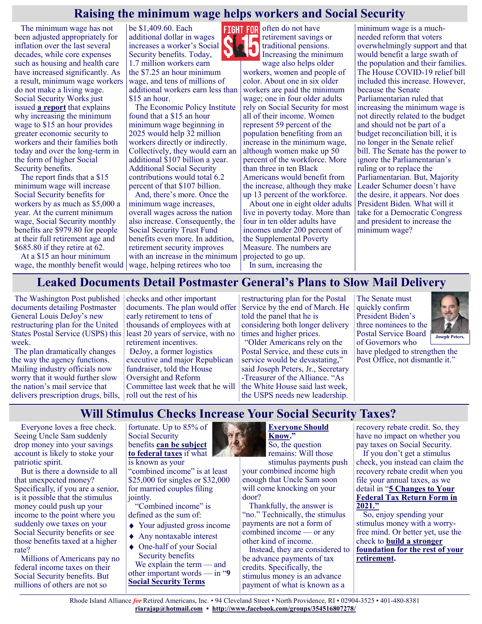## **Raising the minimum wage helps workers and Social Security**

The minimum wage has not been adjusted appropriately for inflation over the last several decades, while core expenses such as housing and health care have increased significantly. As a result, minimum wage workers do not make a living wage. Social Security Works just issued **[a report](https://socialsecurityworks.org/enacting-a-15-minimum-wage-is-a-win-for-social-security/)** that explains why increasing the minimum wage to \$15 an hour provides greater economic security to workers and their families both today and over the long-term in the form of higher Social Security benefits.

The report finds that a \$15 minimum wage will increase Social Security benefits for workers by as much as \$5,000 a year. At the current minimum wage, Social Security monthly benefits are \$979.80 for people at their full retirement age and \$685.80 if they retire at 62.

be \$1,409.60. Each additional dollar in wages increases a worker's Social Security benefits. Today, 1.7 million workers earn the \$7.25 an hour minimum wage, and tens of millions of additional workers earn less than \$15 an hour.

The Economic Policy Institute found that a \$15 an hour minimum wage beginning in 2025 would help 32 million workers directly or indirectly. Collectively, they would earn an additional \$107 billion a year. Additional Social Security contributions would total 6.2 percent of that \$107 billion.

And, there's more. Once the minimum wage increases, overall wages across the nation also increase. Consequently, the Social Security Trust Fund benefits even more. In addition, retirement security improves with an increase in the minimum



retirement savings or traditional pensions. Increasing the minimum wage also helps older workers, women and people of color. About one in six older workers are paid the minimum wage; one in four older adults rely on Social Security for most all of their income. Women represent 59 percent of the population benefiting from an increase in the minimum wage, although women make up 50 percent of the workforce. More than three in ten Black Americans would benefit from the increase, although they make up 13 percent of the workforce.

About one in eight older adults live in poverty today. More than four in ten older adults have incomes under 200 percent of the Supplemental Poverty Measure. The numbers are projected to go up. In sum, increasing the

minimum wage is a muchneeded reform that voters overwhelmingly support and that would benefit a large swath of the population and their families. The House COVID-19 relief bill included this increase. However, because the Senate Parliamentarian ruled that increasing the minimum wage is not directly related to the budget and should not be part of a budget reconciliation bill, it is no longer in the Senate relief bill. The Senate has the power to ignore the Parliamentarian's ruling or to replace the Parliamentarian. But, Majority Leader Schumer doesn't have the desire, it appears. Nor does President Biden. What will it take for a Democratic Congress and president to increase the minimum wage?

At a \$15 an hour minimum wage, the monthly benefit would wage, helping retirees who too

# **Leaked Documents Detail Postmaster General's Plans to Slow Mail Delivery**

The Washington Post published documents detailing Postmaster General Louis DeJoy's new restructuring plan for the United States Postal Service (USPS) this week.

The plan dramatically changes the way the agency functions. Mailing industry officials now worry that it would further slow the nation's mail service that delivers prescription drugs, bills,

checks and other important documents. The plan would offer early retirement to tens of thousands of employees with at least 20 years of service, with no retirement incentives. DeJoy, a former logistics executive and major Republican fundraiser, told the House Oversight and Reform Committee last week that he will roll out the rest of his

restructuring plan for the Postal Service by the end of March. He told the panel that he is considering both longer delivery times and higher prices.

"Older Americans rely on the Postal Service, and these cuts in service would be devastating," said Joseph Peters, Jr., Secretary -Treasurer of the Alliance. "As the White House said last week, the USPS needs new leadership. The Senate must quickly confirm President Biden's three nominees to the Postal Service Board of Governors who



have pledged to strengthen the Post Office, not dismantle it."

### **Will Stimulus Checks Increase Your Social Security Taxes?**

Everyone loves a free check. Seeing Uncle Sam suddenly drop money into your savings account is likely to stoke your patriotic spirit.

But is there a downside to all that unexpected money? Specifically, if you are a senior, is it possible that the stimulus money could push up your income to the point where you suddenly owe taxes on your Social Security benefits or see those benefits taxed at a higher rate?

Millions of Americans pay no federal income taxes on their Social Security benefits. But millions of others are not so

fortunate. Up to 85% of Social Security benefits **[can be subject](https://www.ssa.gov/benefits/retirement/planner/taxes.html)  [to federal taxes](https://www.ssa.gov/benefits/retirement/planner/taxes.html)** if what

is known as your "combined income" is at least \$25,000 for singles or \$32,000 for married couples filing jointly.

"Combined income" is defined as the sum of:

- Your adjusted gross income
- ◆ Any nontaxable interest
- ◆ One-half of your Social Security benefits

We explain the term — and other important words — in "**[9](https://www.moneytalksnews.com/social-security-terms/)  [Social Security Terms](https://www.moneytalksnews.com/social-security-terms/)** 



**[Know."](https://www.moneytalksnews.com/social-security-terms/)** So, the question remains: Will those

**[Everyone Should](https://www.moneytalksnews.com/social-security-terms/)** 

stimulus payments push your combined income high enough that Uncle Sam soon will come knocking on your door?

Thankfully, the answer is "no." Technically, the stimulus payments are not a form of combined income — or any other kind of income.

Instead, they are considered to be advance payments of tax credits. Specifically, the stimulus money is an advance payment of what is known as a

recovery rebate credit. So, they have no impact on whether you pay taxes on Social Security.

If you don't get a stimulus check, you instead can claim the recovery rebate credit when you file your annual taxes, as we detail in "**[5 Changes to Your](https://www.moneytalksnews.com/slideshows/changes-to-the-form-1040-federal-tax-return/)  [Federal Tax Return Form in](https://www.moneytalksnews.com/slideshows/changes-to-the-form-1040-federal-tax-return/)  [2021.](https://www.moneytalksnews.com/slideshows/changes-to-the-form-1040-federal-tax-return/)"**

So, enjoy spending your stimulus money with a worryfree mind. Or better yet, use the check to **[build a stronger](https://www.moneytalksnews.com/slideshows/5-simple-ways-to-invest-your-retirement-savings/)  [foundation for the rest of your](https://www.moneytalksnews.com/slideshows/5-simple-ways-to-invest-your-retirement-savings/)  [retirement.](https://www.moneytalksnews.com/slideshows/5-simple-ways-to-invest-your-retirement-savings/)**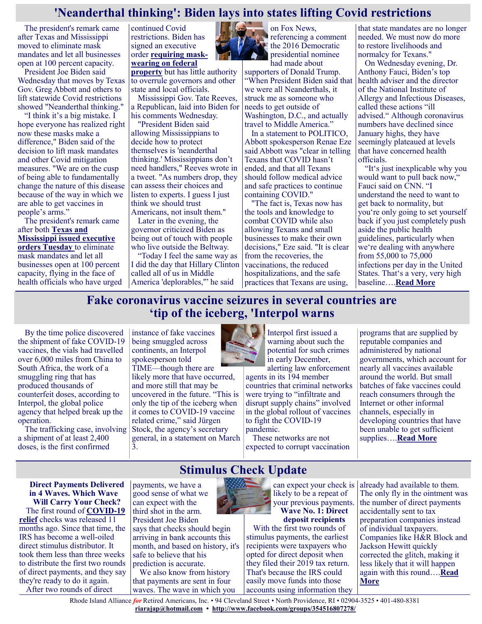## **'Neanderthal thinking': Biden lays into states lifting Covid restrictions**

The president's remark came after Texas and Mississippi moved to eliminate mask mandates and let all businesses open at 100 percent capacity.

President Joe Biden said Wednesday that moves by Texas Gov. Greg Abbott and others to lift statewide Covid restrictions showed "Neanderthal thinking."

"I think it's a big mistake. I hope everyone has realized right now these masks make a difference," Biden said of the decision to lift mask mandates and other Covid mitigation measures. "We are on the cusp of being able to fundamentally change the nature of this disease because of the way in which we are able to get vaccines in people's arms."

The president's remark came after both **[Texas and](https://www.politico.com/news/2021/03/02/texas-to-lift-mask-mandate-472690)  [Mississippi issued executive](https://www.politico.com/news/2021/03/02/texas-to-lift-mask-mandate-472690)  [orders Tuesday](https://www.politico.com/news/2021/03/02/texas-to-lift-mask-mandate-472690)** to eliminate mask mandates and let all businesses open at 100 percent capacity, flying in the face of health officials who have urged continued Covid restrictions. Biden has signed an executive order **[requiring mask](https://www.politico.com/news/2021/01/22/biden-mask-mandate-461533)[wearing on federal](https://www.politico.com/news/2021/01/22/biden-mask-mandate-461533)** 

**[property](https://www.politico.com/news/2021/01/22/biden-mask-mandate-461533)** but has little authority to overrule governors and other state and local officials.

Mississippi Gov. Tate Reeves, a Republican, laid into Biden for his comments Wednesday.

"President Biden said allowing Mississippians to decide how to protect themselves is 'neanderthal thinking.' Mississippians don't need handlers," Reeves wrote in a tweet. "As numbers drop, they can assess their choices and listen to experts. I guess I just think we should trust Americans, not insult them."

Later in the evening, the governor criticized Biden as being out of touch with people who live outside the Beltway.

"Today I feel the same way as I did the day that Hillary Clinton called all of us in Middle America 'deplorables,'" he said



on Fox News, referencing a comment the 2016 Democratic presidential nominee

had made about supporters of Donald Trump. "When President Biden said that we were all Neanderthals, it struck me as someone who needs to get outside of Washington, D.C., and actually travel to Middle America."

In a statement to POLITICO, Abbott spokesperson Renae Eze said Abbott was "clear in telling Texans that COVID hasn't ended, and that all Texans should follow medical advice and safe practices to continue containing COVID."

"The fact is, Texas now has the tools and knowledge to combat COVID while also allowing Texans and small businesses to make their own decisions," Eze said. "It is clear from the recoveries, the vaccinations, the reduced hospitalizations, and the safe practices that Texans are using,

that state mandates are no longer needed. We must now do more to restore livelihoods and normalcy for Texans."

On Wednesday evening, Dr. Anthony Fauci, Biden's top health adviser and the director of the National Institute of Allergy and Infectious Diseases, called these actions "ill advised." Although coronavirus numbers have declined since January highs, they have seemingly plateaued at levels that have concerned health officials.

"It's just inexplicable why you would want to pull back now," Fauci said on CNN. "I understand the need to want to get back to normality, but you're only going to set yourself back if you just completely push aside the public health guidelines, particularly when we're dealing with anywhere from 55,000 to 75,000 infections per day in the United States. That's a very, very high baseline….**[Read More](https://www.politico.com/news/2021/03/03/psaki-white-house-mask-restrictions-473348)**

## **Fake coronavirus vaccine seizures in several countries are 'tip of the iceberg, 'Interpol warns**

By the time police discovered the shipment of fake COVID-19 vaccines, the vials had travelled over 6,000 miles from China to South Africa, the work of a smuggling ring that has produced thousands of counterfeit doses, according to Interpol, the global police agency that helped break up the operation.

The trafficking case, involving a shipment of at least 2,400 doses, is the first confirmed

instance of fake vaccines being smuggled across continents, an Interpol spokesperson told TIME—though there are likely more that have occurred, and more still that may be uncovered in the future. "This is only the tip of the iceberg when it comes to COVID-19 vaccine related crime," said Jürgen Stock, the agency's secretary general, in a statement on March 3.



Interpol [first issued a](https://www.interpol.int/en/News-and-Events/News/2020/INTERPOL-warns-of-organized-crime-threat-to-COVID-19-vaccines)  [warning](https://www.interpol.int/en/News-and-Events/News/2020/INTERPOL-warns-of-organized-crime-threat-to-COVID-19-vaccines) about such the potential for such crimes in early December,

alerting law enforcement agents in its 194 member countries that criminal networks were trying to "infiltrate and disrupt supply chains" involved in the global rollout of vaccines to fight the COVID-19 pandemic.

These networks are not expected to corrupt vaccination programs that are supplied by reputable companies and administered by national governments, which account for nearly all vaccines available around the world. But small batches of fake vaccines could reach consumers through the Internet or other informal channels, especially in developing countries that have been unable to get sufficient supplies….**[Read More](https://www.yahoo.com/news/tip-iceberg-interpol-says-fake-110138782.html)**

**Direct Payments Delivered in 4 Waves. Which Wave Will Carry Your Check?** The first round of **[COVID](https://www.fool.com/the-ascent/coronavirus-resources/?utm_source=msnrss&utm_medium=feed&utm_campaign=article&referring_guid=566d39af-d84d-401a-a77b-31603f4108b7)-19 [relief](https://www.fool.com/the-ascent/coronavirus-resources/?utm_source=msnrss&utm_medium=feed&utm_campaign=article&referring_guid=566d39af-d84d-401a-a77b-31603f4108b7)** checks was released 11 months ago. Since that time, the IRS has become a well-oiled direct stimulus distributor. It took them less than three weeks to distribute the first two rounds of direct payments, and they say they're ready to do it again. After two rounds of direct

payments, we have a good sense of what we can expect with the third shot in the arm. President Joe Biden says that checks should begin arriving in bank accounts this month, and based on history, it's safe to believe that his prediction is accurate. We also know from history that payments are sent in four waves. The wave in which you



can expect your check is likely to be a repeat of your previous payments. **Wave No. 1: Direct deposit recipients**

With the first two rounds of stimulus payments, the earliest recipients were taxpayers who opted for direct deposit when they filed their 2019 tax return. That's because the IRS could easily move funds into those accounts using information they already had available to them. The only fly in the ointment was the number of direct payments accidentally sent to tax preparation companies instead of individual taxpayers. Companies like H&R Block and Jackson Hewitt quickly corrected the glitch, making it less likely that it will happen again with this round….**[Read](https://www.msn.com/en-us/money/personalfinance/stimulus-check-update-direct-payments-delivered-in-4-waves-which-wave-will-carry-your-check/ar-BB1erLtB?li=BBorjTa&ocid=SK2DDHP)  [More](https://www.msn.com/en-us/money/personalfinance/stimulus-check-update-direct-payments-delivered-in-4-waves-which-wave-will-carry-your-check/ar-BB1erLtB?li=BBorjTa&ocid=SK2DDHP)**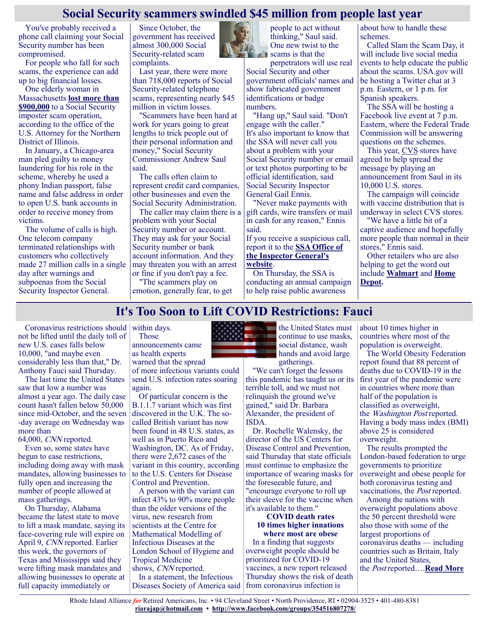#### **Social Security scammers swindled \$45 million from people last year**

You've probably received a phone call claiming your Social Security number has been compromised.

For people who fall for such scams, the experience can add up to big financial losses.

One elderly woman in Massachusetts **[lost more than](https://www.justice.gov/usao-ndil/pr/suburban-chicago-man-pleads-guilty-laundering-proceeds-telemarketing-scheme-defrauded)  [\\$900,000](https://www.justice.gov/usao-ndil/pr/suburban-chicago-man-pleads-guilty-laundering-proceeds-telemarketing-scheme-defrauded)** to a Social Security imposter scam operation, according to the office of the U.S. Attorney for the Northern District of Illinois.

In January, a Chicago-area man pled guilty to money laundering for his role in the scheme, whereby he used a phony Indian passport, false name and false address in order to open U.S. bank accounts in order to receive money from victims.

The volume of calls is high. One telecom company terminated relationships with customers who collectively made 27 million calls in a single day after warnings and subpoenas from the Social Security Inspector General.

Since October, the government has received almost 300,000 Social Security-related scam complaints.

Last year, there were more than 718,000 reports of Social Security-related telephone scams, representing nearly \$45 million in victim losses.

"Scammers have been hard at work for years going to great lengths to trick people out of their personal information and money," Social Security Commissioner Andrew Saul said.

The calls often claim to represent credit card companies, other businesses and even the Social Security Administration.

The caller may claim there is a problem with your Social Security number or account. They may ask for your Social Security number or bank account information. And they may threaten you with an arrest or fine if you don't pay a fee.

"The scammers play on emotion, generally fear, to get

people to act without thinking," Saul said. One new twist to the  $\mathbb{R}$  scams is that the

perpetrators will use real Social Security and other government officials' names and show fabricated government identifications or badge numbers.

"Hang up," Saul said. "Don't engage with the caller." It's also important to know that the SSA will never call you about a problem with your Social Security number or email or text photos purporting to be official identification, said Social Security Inspector General Gail Ennis.

"Never make payments with gift cards, wire transfers or mail in cash for any reason," Ennis said.

If you receive a suspicious call, report it to the **[SSA Office of](https://oig.ssa.gov/)  [the Inspector General's](https://oig.ssa.gov/)  [website](https://oig.ssa.gov/)**.

On Thursday, the SSA is conducting an annual campaign to help raise public awareness

about how to handle these schemes.

Called Slam the Scam Day, it will include live social media events to help educate the public about the scams. USA.gov will be hosting a Twitter chat at 3 p.m. Eastern, or 1 p.m. for Spanish speakers.

The SSA will be hosting a Facebook live event at 7 p.m. Eastern, where the Federal Trade Commission will be answering questions on the schemes.

This year, [CVS](https://www.cnbc.com/quotes/CVS) stores have agreed to help spread the message by playing an announcement from Saul in its 10,000 U.S. stores.

The campaign will coincide with vaccine distribution that is underway in select CVS stores.

"We have a little bit of a captive audience and hopefully more people than normal in their stores," Ennis said.

Other retailers who are also helping to get the word out include **[Walmart](https://www.cnbc.com/quotes/WMT)** and **[Home](https://www.cnbc.com/quotes/HD)  [Depot.](https://www.cnbc.com/quotes/HD)**

# **It's Too Soon to Lift COVID Restrictions: Fauci**

Coronavirus restrictions should within days. not be lifted until the daily toll of new U.S. cases falls below 10,000, "and maybe even considerably less than that," Dr. Anthony Fauci said Thursday.

The last time the United States saw that low a number was almost a year ago. The daily case count hasn't fallen below 50,000 since mid-October, and the seven -day average on Wednesday was more than

64,000, CNN reported.

Even so, some states have begun to ease restrictions, including doing away with mask mandates, allowing businesses to fully open and increasing the number of people allowed at mass gatherings.

On Thursday, Alabama became the latest state to move to lift a mask mandate, saying its face-covering rule will expire on April 9, CNN reported. Earlier this week, the governors of Texas and Mississippi said they were lifting mask mandates [an](http://www.cnn.com/2021/03/03/health/us-coronavirus-wednesday/index.html)d allowing businesses to operate at full capacity immediately or

Those announcements came as health experts

warned that the spread of more infectious variants could send U.S. infection rates soaring again.

Of particular concern is the B.1.1.7 variant which was first discovered in the U.K. The socalled British variant has now been found in 48 U.S. states, as well as in Puerto Rico and Washington, DC. As of Friday, there were 2,672 cases of the variant in this country, according to the U.S. Centers for Disease Control and Prevention.

A person with the variant can infect 43% to 90% more people than the older versions of the virus, new research from scientists at the Centre for Mathematical Modelling of Infectious Diseases at the London School of Hygiene and Tropical Medicine shows, CNN reported.

In a statement, the Infectious Diseases Society of America said



the United States must continue to use masks, social distance, wash hands and avoid large gatherings.

"We can't forget the lessons this pandemic has taught us or its terrible toll, and we must not relinquish the ground we've gained," said Dr. Barbara Alexander, the president of ISDA.

Dr. Rochelle Walensky, the director of the US Centers for Disease Control and Prevention, said Thursday that state officials must continue to emphasize the importance of wearing masks for the foreseeable future, and "encourage everyone to roll up their sleeve for the vaccine when it's available to them."

#### **COVID death rates 10 times higher innations where most are obese**

In a finding that suggests overweight people should be prioritized for COVID-19 vaccines, a new report released Thursday shows the risk of death from coronavirus infection is

about 10 times higher in countries where most of the population is overweight.

The World Obesity Federation report found that 88 percent of deaths due to COVID-19 in the first year of the pandemic were in countries where more than half of the population is classified as overweight, the Washington Post reported. Having a body mass index (BMI) above 25 is considered overweight.

The results prompted the London-based federation to urge governments to prioritize overweight and obese people for both coronavirus testing and vaccinations, the Post reported.

Among the nations with overweight populations above the 50 percent threshold were also those with some of the largest proportions of coronavirus deaths — including countries such as Britain, Italy and the United States, the Post reported….**[Read More](https://consumer.healthday.com/3-5-too-soon-to-lift-covid-restrictions-fauci-2650917896.html)**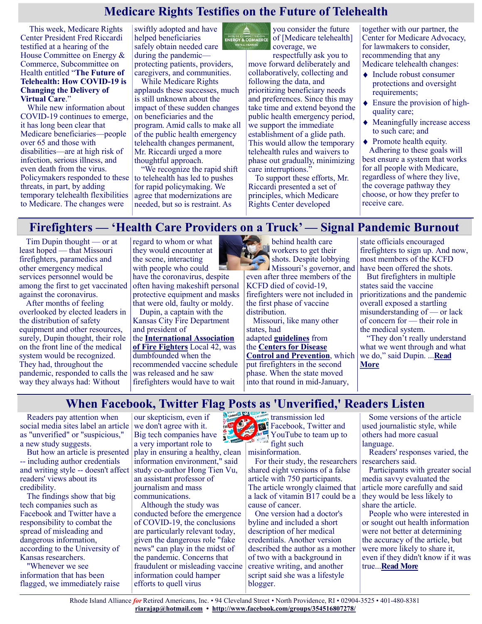# **Medicare Rights Testifies on the Future of Telehealth**

This week, Medicare Rights Center President Fred Riccardi testified at a hearing of the House Committee on Energy & Commerce, Subcommittee on Health entitled "**[The Future of](https://energycommerce.house.gov/committee-activity/hearings/hearing-on-the-future-of-telehealth-how-covid-19-is-changing-the)  [Telehealth: How COVID](https://energycommerce.house.gov/committee-activity/hearings/hearing-on-the-future-of-telehealth-how-covid-19-is-changing-the)-19 is [Changing the Delivery of](https://energycommerce.house.gov/committee-activity/hearings/hearing-on-the-future-of-telehealth-how-covid-19-is-changing-the)  [Virtual Care](https://energycommerce.house.gov/committee-activity/hearings/hearing-on-the-future-of-telehealth-how-covid-19-is-changing-the)**."

While new information about COVID-19 continues to emerge, it has long been clear that Medicare beneficiaries—people over 65 and those with disabilities—are at high risk of infection, serious illness, and even death from the virus. Policymakers responded to these threats, in part, by adding temporary telehealth flexibilities to Medicare. The changes were

swiftly adopted and have helped beneficiaries HOUSE COMMITTEE ON safely obtain needed care during the pandemic protecting patients, providers, caregivers, and communities.

While Medicare Rights applauds these successes, much is still unknown about the impact of these sudden changes on beneficiaries and the program. Amid calls to make all of the public health emergency telehealth changes permanent, Mr. Riccardi urged a more thoughtful approach.

"We recognize the rapid shift to telehealth has led to pushes for rapid policymaking. We agree that modernizations are needed, but so is restraint. As

you consider the future of [Medicare telehealth] coverage, we

respectfully ask you to move forward deliberately and collaboratively, collecting and following the data, and prioritizing beneficiary needs and preferences. Since this may take time and extend beyond the public health emergency period, we support the immediate establishment of a glide path. This would allow the temporary telehealth rules and waivers to phase out gradually, minimizing care interruptions."

To support these efforts, Mr. Riccardi presented a set of principles, which Medicare Rights Center developed

together with our partner, the Center for Medicare Advocacy, for lawmakers to consider, recommending that any Medicare telehealth changes:

- Include robust consumer protections and oversight requirements;
- Ensure the provision of highquality care;
- Meaningfully increase access to such care; and
- Promote health equity. Adhering to these goals will best ensure a system that works for all people with Medicare, regardless of where they live, the coverage pathway they choose, or how they prefer to receive care.

# **Firefighters — 'Health Care Providers on a Truck' — Signal Pandemic Burnout**

Tim Dupin thought — or at least hoped — that Missouri firefighters, paramedics and other emergency medical services personnel would be among the first to get vaccinated against the coronavirus.

After months of feeling overlooked by elected leaders in the distribution of safety equipment and other resources, surely, Dupin thought, their role on the front line of the medical system would be recognized. They had, throughout the pandemic, responded to calls the way they always had: Without

regard to whom or what they would encounter at the scene, interacting with people who could have the coronavirus, despite

often having makeshift personal protective equipment and masks that were old, faulty or moldy.

Dupin, a captain with the Kansas City Fire Department and president of

the **[International Association](https://www.iaff.org/)  [of Fire Fighters](https://www.iaff.org/)** Local 42, was dumbfounded when the recommended vaccine schedule was released and he saw firefighters would have to wait



behind health care workers to get their shots. Despite lobbying Missouri's governor, and

even after three members of the KCFD died of covid-19, firefighters were not included in the first phase of vaccine distribution.

Missouri, like many other states, had

adapted **[guidelines](https://health.mo.gov/living/healthcondiseases/communicable/novel-coronavirus/pdf/mo-covid-19-vax-plan.pdf)** from the **[Centers for Disease](https://www.cdc.gov/coronavirus/2019-ncov/vaccines/recommendations.html)  [Control and Prevention](https://www.cdc.gov/coronavirus/2019-ncov/vaccines/recommendations.html)**, which put firefighters in the second phase. When the state moved into that round in mid-January,

state officials encouraged firefighters to sign up. And now, most members of the KCFD have been offered the shots.

But firefighters in multiple states said the vaccine prioritizations and the pandemic overall exposed a startling misunderstanding of — or lack of concern for — their role in the medical system.

"They don't really understand what we went through and what we do," said Dupin. ...**[Read](https://khn.org/news/article/firefighter-pandemic-burnout-health-care-role-misunderstood-vaccine-priority-overlooked/)  [More](https://khn.org/news/article/firefighter-pandemic-burnout-health-care-role-misunderstood-vaccine-priority-overlooked/)**

# When Facebook, Twitter Flag Posts as 'Unverified,' Readers Listen<br>
y attention when | our skepticism, even if **and the second of the second in the second of the second of the second of the second of the second of the secon**

Readers pay attention when social media sites label an article as "unverified" or "suspicious," a new study suggests.

But how an article is presented -- including author credentials and writing style -- doesn't affect readers' views about its credibility.

The findings show that big tech companies such as Facebook and Twitter have a responsibility to combat the spread of misleading and dangerous information, according to the University of Kansas researchers.

"Whenever we see information that has been flagged, we immediately raise

our skepticism, even if we don't agree with it. Big tech companies have a very important role to play in ensuring a healthy, clean information environment," said study co-author Hong Tien Vu, an assistant professor of journalism and mass communications.

Although the study was conducted before the emergence of COVID-19, the conclusions are particularly relevant today, given the dangerous role "fake news" can play in the midst of the pandemic. Concerns that fraudulent or misleading vaccine information could hamper efforts to quell virus



transmission led Facebook, Twitter and  $\frac{dx}{dx}$  YouTube to team up to Fight such

misinformation.

For their study, the researchers shared eight versions of a false article with 750 participants. The article wrongly claimed that a lack of vitamin B17 could be a cause of cancer.

One version had a doctor's byline and included a short description of her medical credentials. Another version described the author as a mother of two with a background in creative writing, and another script said she was a lifestyle blogger.

Some versions of the article used journalistic style, while others had more casual language.

Readers' responses varied, the researchers said.

Participants with greater social media savvy evaluated the article more carefully and said they would be less likely to share the article.

People who were interested in or sought out health information were not better at determining the accuracy of the article, but were more likely to share it, even if they didn't know if it was true...**[Read More](https://consumer.healthday.com/b-3-5-when-facebook-twitter-mark-posts-as-unverified-readers-listen-study-2650857147.html)**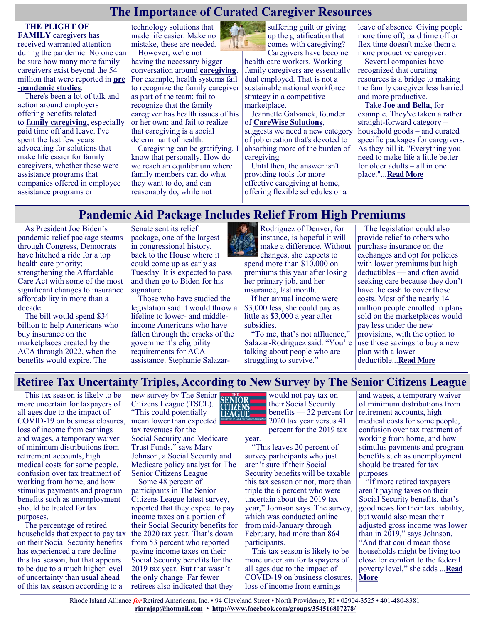## **The Importance of Curated Caregiver Resources**

#### **THE PLIGHT OF**

**FAMILY** caregivers has received warranted attention during the pandemic. No one can be sure how many more family caregivers exist beyond the 54 million that were reported in **[pre](https://www.caregiving.org/wp-content/uploads/2020/05/Executive-Summary-Caregiving-in-the-United-States-2020.pdf) -[pandemic studies](https://www.caregiving.org/wp-content/uploads/2020/05/Executive-Summary-Caregiving-in-the-United-States-2020.pdf)**.

There's been a lot of talk and action around employers offering benefits related to **[family caregiving](https://health.usnews.com/health-news/best-assisted-living/slideshows/rewards-of-caregiving)**, especially paid time off and leave. I've spent the last few years advocating for solutions that make life easier for family caregivers, whether these were assistance programs that companies offered in employee assistance programs or

technology solutions that made life easier. Make no mistake, these are needed. However, we're not

having the necessary bigger conversation around **[caregiving](https://health.usnews.com/health-care/for-better/articles/humor-helps-caregivers-cope-with-stress)**. For example, health systems fail to recognize the family caregiver as part of the team; fail to recognize that the family caregiver has health issues of his or her own; and fail to realize that caregiving is a social determinant of health.

Caregiving can be gratifying. I know that personally. How do we reach an equilibrium where family members can do what they want to do, and can reasonably do, while not

suffering guilt or giving up the gratification that comes with caregiving? Caregivers have become

health care workers. Working family caregivers are essentially dual employed. That is not a sustainable national workforce strategy in a competitive marketplace.

Jeannette Galvanek, founder of **[CareWise Solutions](https://carewisesolutions.com/)**, suggests we need a new category

of job creation that's devoted to absorbing more of the burden of caregiving.

Until then, the answer isn't providing tools for more effective caregiving at home, offering flexible schedules or a leave of absence. Giving people more time off, paid time off or flex time doesn't make them a more productive caregiver.

Several companies have recognized that curating resources is a bridge to making the family caregiver less harried and more productive.

Take **[Joe and Bella](https://joeandbella.com/)**, for example. They've taken a rather straight-forward category – household goods – and curated specific packages for caregivers. As they bill it, "Everything you need to make life a little better for older adults – all in one place."...**[Read More](https://health.usnews.com/health-care/for-better/articles/curated-caregiver-resources)**

# **Pandemic Aid Package Includes Relief From High Premiums**

As President Joe Biden's pandemic relief package steams through Congress, Democrats have hitched a ride for a top health care priority: strengthening the Affordable Care Act with some of the most significant changes to insurance affordability in more than a decade.

The bill would spend \$34 billion to help Americans who buy insurance on the marketplaces created by the ACA through 2022, when the benefits would expire. The

Senate sent its relief package, one of the largest in congressional history, back to the House where it could come up as early as Tuesday. It is expected to pass and then go to Biden for his signature.

Those who have studied the legislation said it would throw a lifeline to lower- and middleincome Americans who have fallen through the cracks of the government's eligibility requirements for ACA assistance. Stephanie Salazar-



Rodriguez of Denver, for instance, is hopeful it will make a difference. Without changes, she expects to spend more than \$10,000 on

premiums this year after losing her primary job, and her insurance, last month.

If her annual income were \$3,000 less, she could pay as little as \$3,000 a year after subsidies.

"To me, that's not affluence," Salazar-Rodriguez said. "You're talking about people who are struggling to survive."

The legislation could also provide relief to others who purchase insurance on the exchanges and opt for policies with lower premiums but high deductibles — and often avoid seeking care because they don't have the cash to cover those costs. Most of the nearly 14 million people enrolled in plans sold on the marketplaces would pay less under the new provisions, with the option to use those savings to buy a new plan with a lower deductible...**[Read More](https://khn.org/news/article/aca-subsidies-pandemic-aid-package-includes-relief-from-high-premiums/)**

# **Retiree Tax Uncertainty Triples, According to New Survey by The Senior Citizens League**

This tax season is likely to be more uncertain for taxpayers of all ages due to the impact of COVID-19 on business closures, loss of income from earnings and wages, a temporary waiver of minimum distributions from retirement accounts, high medical costs for some people, confusion over tax treatment of working from home, and how stimulus payments and program benefits such as unemployment should be treated for tax purposes.

The percentage of retired households that expect to pay tax on their Social Security benefits has experienced a rare decline this tax season, but that appears to be due to a much higher level of uncertainty than usual ahead of this tax season according to a

new survey by The Senior SENIOR [Citizens League](http://www.seniorsleague.org/) (TSCL). **UTIZENS**<br>LEAGUE "This could potentially mean lower than expected tax revenues for the Social Security and Medicare Trust Funds," says Mary Johnson, a Social Security and Medicare policy analyst for The Senior Citizens League

Some 48 percent of participants in The Senior Citizens League latest survey, reported that they expect to pay income taxes on a portion of their Social Security benefits for the 2020 tax year. That's down from 53 percent who reported paying income taxes on their Social Security benefits for the 2019 tax year. But that wasn't the only change. Far fewer retirees also indicated that they

would not pay tax on their Social Security benefits — 32 percent for 2020 tax year versus 41 percent for the 2019 tax

year.

"This leaves 20 percent of survey participants who just aren't sure if their Social Security benefits will be taxable this tax season or not, more than triple the 6 percent who were uncertain about the 2019 tax year," Johnson says. The survey, which was conducted online from mid-January through February, had more than 864 participants.

This tax season is likely to be more uncertain for taxpayers of all ages due to the impact of COVID-19 on business closures, loss of income from earnings

and wages, a temporary waiver of minimum distributions from retirement accounts, high medical costs for some people, confusion over tax treatment of working from home, and how stimulus payments and program benefits such as unemployment should be treated for tax purposes.

"If more retired taxpayers aren't paying taxes on their Social Security benefits, that's good news for their tax liability, but would also mean their adjusted gross income was lower than in 2019," says Johnson. "And that could mean those households might be living too close for comfort to the federal poverty level," she adds ...**[Read](http://www.prweb.com/releases/retiree_tax_uncertainty_triples_according_to_new_survey_by_the_senior_citizens_league/prweb17779911.htm)  [More](http://www.prweb.com/releases/retiree_tax_uncertainty_triples_according_to_new_survey_by_the_senior_citizens_league/prweb17779911.htm)**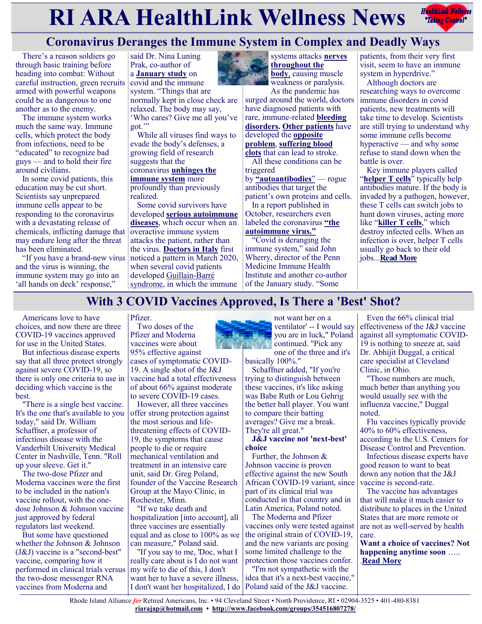# **RIARA HealthLink Wellness News** *Rediction Rediction***ly <b>Rediction Rediction Rediction Rediction Rediction Rediction Rediction Rediction Rediction Rediction Rediction Rediction Rediction Re**



# **Coronavirus Deranges the Immune System in Complex and Deadly Ways**

There's a reason soldiers go through basic training before heading into combat: Without careful instruction, green recruits armed with powerful weapons could be as dangerous to one another as to the enemy.

The immune system works much the same way. Immune cells, which protect the body from infections, need to be "educated" to recognize bad guys — and to hold their fire around civilians.

In some covid patients, this education may be cut short. Scientists say unprepared immune cells appear to be responding to the coronavirus with a devastating release of chemicals, inflicting damage that may endure long after the threat has been eliminated.

"If you have a brand-new virus and the virus is winning, the immune system may go into an 'all hands on deck' response,"

said Dr. Nina Luning Prak, co-author of a **[January study](https://www.ncbi.nlm.nih.gov/pmc/articles/PMC7852238/)** on covid and the immune system. "Things that are normally kept in close check are relaxed. The body may say,

'Who cares? Give me all you've got."

While all viruses find ways to evade the body's defenses, a growing field of research suggests that the coronavirus **[unhinges the](https://www.nature.com/articles/d41586-021-00149-1)  [immune system](https://www.nature.com/articles/d41586-021-00149-1)** more profoundly than previously realized.

Some covid survivors have developed **[serious autoimmune](https://www.ncbi.nlm.nih.gov/pmc/articles/PMC7598743/)  [diseases](https://www.ncbi.nlm.nih.gov/pmc/articles/PMC7598743/)**, which occur when an overactive immune system attacks the patient, rather than the virus. **[Doctors in Italy](https://www.nejm.org/doi/full/10.1056/NEJMc2009191)** first noticed a pattern in March 2020, when several covid patients developed [Guillain](https://pubmed.ncbi.nlm.nih.gov/32388880/)-Barré [syndrome,](https://pubmed.ncbi.nlm.nih.gov/32388880/) in which the immune



**[body](https://www.ninds.nih.gov/disorders/patient-caregiver-education/fact-sheets/guillain-barr%C3%A9-syndrome-fact-sheet)**, causing muscle weakness or paralysis. As the pandemic has surged around the world, doctors have diagnosed patients with rare, immune-related **[bleeding](https://www.ncbi.nlm.nih.gov/pmc/articles/PMC7501509/)  [disorders.](https://www.ncbi.nlm.nih.gov/pmc/articles/PMC7501509/) [Other patients](https://www.hss.edu/conditions_top-ten-series-antiphospholipid-syndrome-coronavirus-covid-19.asp)** have developed the **[opposite](https://stm.sciencemag.org/content/12/570/eabd3876)  [problem](https://stm.sciencemag.org/content/12/570/eabd3876)**, **[suffering blood](https://pubmed.ncbi.nlm.nih.gov/33328777/)** 

systems attacks **[nerves](https://www.ninds.nih.gov/disorders/patient-caregiver-education/fact-sheets/guillain-barr%C3%A9-syndrome-fact-sheet)  [throughout the](https://www.ninds.nih.gov/disorders/patient-caregiver-education/fact-sheets/guillain-barr%C3%A9-syndrome-fact-sheet)** 

**[clots](https://pubmed.ncbi.nlm.nih.gov/33328777/)** that can lead to stroke. All these conditions can be

triggered by **["autoantibodies](https://stm.sciencemag.org/content/12/570/eabd3876)**" — rogue antibodies that target the patient's own proteins and cells. In a report published in October, researchers even

labeled the coronavirus **["the](https://www.ncbi.nlm.nih.gov/pmc/articles/PMC7598743/)  [autoimmune virus."](https://www.ncbi.nlm.nih.gov/pmc/articles/PMC7598743/)**

"Covid is deranging the immune system," said John Wherry, director of the Penn Medicine Immune Health Institute and another co-author of the January study. "Some

patients, from their very first visit, seem to have an immune system in hyperdrive."

Although doctors are researching ways to overcome immune disorders in covid patients, new treatments will take time to develop. Scientists are still trying to understand why some immune cells become hyperactive — and why some refuse to stand down when the battle is over.

Key immune players called "[helper T cells](https://www.britannica.com/science/helper-T-cell)" typically help antibodies mature. If the body is invaded by a pathogen, however, these T cells can switch jobs to hunt down viruses, acting more like "**[killer T cells](https://www.medicalnewstoday.com/articles/antibodies-fight-off-the-new-coronavirus-but-what-do-t-cells-do)**," which destroy infected cells. When an infection is over, helper T cells usually go back to their old jobs...**[Read More](https://khn.org/news/article/covid-autoimmune-virus-rogue-antibodies-cytokine-storm-severe-disease/)**

# **With 3 COVID Vaccines Approved, Is There a 'Best' Shot?**

Americans love to have choices, and now there are three COVID-19 vaccines approved for use in the United States.

But infectious disease experts say that all three protect strongly against severe COVID-19, so there is only one criteria to use in deciding which vaccine is the best.

"There is a single best vaccine. It's the one that's available to you today," said Dr. William Schaffner, a professor of infectious disease with the Vanderbilt University Medical Center in Nashville, Tenn. "Roll up your sleeve. Get it."

The two-dose Pfizer and Moderna vaccines were the first to be included in the nation's vaccine rollout, with the onedose Johnson & Johnson vaccine just approved by federal regulators last weekend.

But some have questioned whether the Johnson & Johnson (J&J) vaccine is a "second-best" vaccine, comparing how it performed in clinical trials versus the two-dose messenger RNA vaccines from Moderna and

#### Pfizer.

Two doses of the Pfizer and Moderna vaccines were about 95% effective against cases of symptomatic COVID-19. A single shot of the J&J vaccine had a total effectiveness of about 66% against moderate to severe COVID-19 cases.

However, all three vaccines offer strong protection against the most serious and lifethreatening effects of COVID-19, the symptoms that cause people to die or require mechanical ventilation and treatment in an intensive care unit, said Dr. Greg Poland, founder of the Vaccine Research Group at the Mayo Clinic, in Rochester, Minn.

"If we take death and hospitalization [into account], all three vaccines are essentially equal and as close to 100% as we can measure," Poland said.

"If you say to me, 'Doc, what I really care about is I do not want my wife to die of this, I don't want her to have a severe illness, I don't want her hospitalized, I do



not want her on a ventilator' -- I would say you are in luck," Poland continued. "Pick any one of the three and it's

basically 100%." Schaffner added, "If you're

trying to distinguish between these vaccines, it's like asking was Babe Ruth or Lou Gehrig the better ball player. You want to compare their batting averages? Give me a break. They're all great."

**J&J vaccine not 'next-best' choice**

Further, the Johnson & Johnson vaccine is proven effective against the new South African COVID-19 variant, since part of its clinical trial was conducted in that country and in Latin America, Poland noted.

The Moderna and Pfizer vaccines only were tested against the original strain of COVID-19, and the new variants are posing some limited challenge to the protection those vaccines confer.

"I'm not sympathetic with the idea that it's a next-best vaccine," Poland said of the J&J vaccine.

Even the 66% clinical trial effectiveness of the J&J vaccine against all symptomatic COVID-19 is nothing to sneeze at, said Dr. Abhijit Duggal, a critical care specialist at Cleveland Clinic, in Ohio.

"Those numbers are much, much better than anything you would usually see with the influenza vaccine," Duggal noted.

Flu vaccines typically provide 40% to 60% effectiveness, according to the U.S. Centers for Disease Control and Prevention. Infectious disease experts have good reason to want to beat down any notion that the J&J

vaccine is second-rate. The vaccine has advantages that will make it much easier to distribute to places in the United States that are more remote or are not as well-served by health

care. **Want a choice of vaccines? Not happening anytime soon** ….. .**[Read More](https://consumer.healthday.com/3-5-with-3-covid-vaccines-approved-is-there-a-best-shot-2650858844.html)**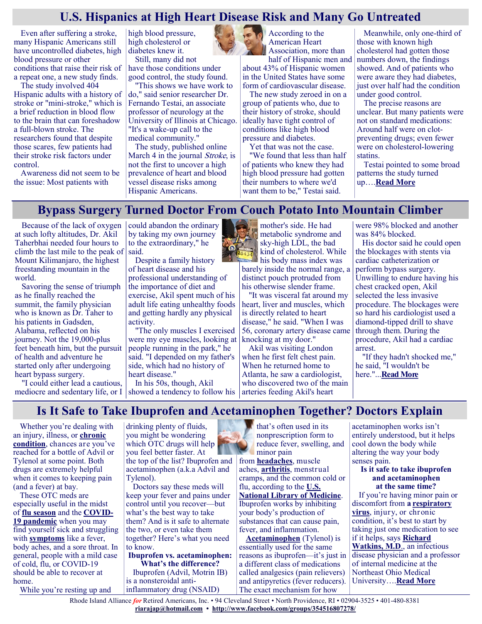# **U.S. Hispanics at High Heart Disease Risk and Many Go Untreated**

Even after suffering a stroke, many Hispanic Americans still have uncontrolled diabetes, high blood pressure or other conditions that raise their risk of a repeat one, a new study finds.

The study involved 404 Hispanic adults with a history of stroke or "mini-stroke," which is a brief reduction in blood flow to the brain that can foreshadow a full-blown stroke. The researchers found that despite those scares, few patients had their stroke risk factors under control.

Awareness did not seem to be the issue: Most patients with

high blood pressure, high cholesterol or diabetes knew it. Still, many did not

have those conditions under good control, the study found.

"This shows we have work to do," said senior researcher Dr. Fernando Testai, an associate professor of neurology at the University of Illinois at Chicago. "It's a wake-up call to the medical community."

The study, published online March 4 in the journal *Stroke*, is not the first to uncover a high prevalence of heart and blood vessel disease risks among Hispanic Americans.



According to the American Heart Association, more than half of Hispanic men and about 43% of Hispanic women

in the United States have some form of cardiovascular disease. The new study zeroed in on a

group of patients who, due to their history of stroke, should ideally have tight control of conditions like high blood pressure and diabetes.

Yet that was not the case.

"We found that less than half of patients who knew they had high blood pressure had gotten their numbers to where we'd want them to be," Testai said.

Meanwhile, only one-third of those with known high cholesterol had gotten those numbers down, the findings showed. And of patients who were aware they had diabetes, just over half had the condition under good control.

The precise reasons are unclear. But many patients were not on standard medications: Around half were on clotpreventing drugs; even fewer were on cholesterol-lowering statins.

Testai pointed to some broad patterns the study turned up….**[Read More](https://consumer.healthday.com/3-4-u-s-hispanics-at-high-heart-risk-and-many-go-untreated-report-2650842073.html)**

#### **Bypass Surgery Turned Doctor From Couch Potato Into Mountain Climber**

Because of the lack of oxygen at such lofty altitudes, Dr. Akil Taherbhai needed four hours to climb the last mile to the peak of Mount Kilimanjaro, the highest freestanding mountain in the world.

Savoring the sense of triumph as he finally reached the summit, the family physician who is known as Dr. Taher to his patients in Gadsden, Alabama, reflected on his journey. Not the 19,000-plus feet beneath him, but the pursuit of health and adventure he started only after undergoing heart bypass surgery.

"I could either lead a cautious, mediocre and sedentary life, or  $I \mid$  showed a tendency to follow his

could abandon the ordinary by taking my own journey to the extraordinary," he said.

Despite a family history of heart disease and his professional understanding of the importance of diet and exercise, Akil spent much of his adult life eating unhealthy foods and getting hardly any physical activity.

"The only muscles I exercised were my eye muscles, looking at people running in the park," he said. "I depended on my father's side, which had no history of heart disease."

In his 50s, though, Akil



mother's side. He had metabolic syndrome and sky-high LDL, the bad kind of cholesterol. While his body mass index was barely inside the normal range, a distinct pouch protruded from

his otherwise slender frame. "It was visceral fat around my heart, liver and muscles, which is directly related to heart disease," he said. "When I was 56, coronary artery disease came knocking at my door."

Akil was visiting London when he first felt chest pain. When he returned home to Atlanta, he saw a cardiologist, who discovered two of the main arteries feeding Akil's heart

were 98% blocked and another was 84% blocked.

His doctor said he could open the blockages with stents via cardiac catheterization or perform bypass surgery. Unwilling to endure having his chest cracked open, Akil selected the less invasive procedure. The blockages were so hard his cardiologist used a diamond-tipped drill to shave through them. During the procedure, Akil had a cardiac arrest.

"If they hadn't shocked me," he said, "I wouldn't be here."...**[Read More](https://consumer.healthday.com/aha-news-bypass-surgery-turned-doctor-from-couch-potato-into-mountain-climber-2650895314.html)**

**Is It Safe to Take Ibuprofen and Acetaminophen Together? Doctors Explain**

Whether you're dealing with an injury, illness, or **[chronic](https://www.prevention.com/health/health-conditions/a28564187/coping-with-chronic-health-condition/)  [condition](https://www.prevention.com/health/health-conditions/a28564187/coping-with-chronic-health-condition/)**, chances are you've reached for a bottle of Advil or Tylenol at some point. Both drugs are extremely helpful when it comes to keeping pain (and a fever) at bay.

These OTC meds are especially useful in the midst of **[flu season](https://www.prevention.com/health/a34671428/how-many-people-die-from-flu/)** and the **[COVID](https://www.prevention.com/novel-coronavirus/)-[19 pandemic](https://www.prevention.com/novel-coronavirus/)** when you may find yourself sick and struggling with **[symptoms](https://www.prevention.com/health/a32006916/mild-coronavirus-symptoms/)** like a fever, body aches, and a sore throat. In general, people with a mild case of cold, flu, or COVID-19 should be able to recover at home. While you're resting up and

drinking plenty of fluids, you might be wondering which OTC drugs will help you feel better faster. At the top of the list? Ibuprofen and acetaminophen (a.k.a Advil and Tylenol).

Doctors say these meds will keep your fever and pains under control until you recover—but what's the best way to take them? And is it safe to alternate the two, or even take them together? Here's what you need to know.

**Ibuprofen vs. acetaminophen: What's the difference?** Ibuprofen (Advil, Motrin IB) is a nonsteroidal anti-

inflammatory drug (NSAID)

that's often used in its nonprescription form to reduce fever, swelling, and minor pain

from **[headaches](https://www.prevention.com/health/health-conditions/a27395847/natural-headache-relief/)**, muscle aches, **[arthritis](https://www.prevention.com/health/health-conditions/a19840908/rheumatoid-arthritis-symptoms/)**, menstrual cramps, and the common cold or flu, according to the **[U.S.](https://medlineplus.gov/druginfo/meds/a682159.html)  [National Library of Medicine](https://medlineplus.gov/druginfo/meds/a682159.html)**. Ibuprofen works by inhibiting your body's production of substances that can cause pain, fever, and inflammation.

**[Acetaminophen](https://medlineplus.gov/druginfo/meds/a681004.html)** (Tylenol) is essentially used for the same reasons as ibuprofen—it's just in a different class of medications called analgesics (pain relievers) and antipyretics (fever reducers). The exact mechanism for how

acetaminophen works isn't entirely understood, but it helps cool down the body while altering the way your body senses pain.

#### **Is it safe to take ibuprofen and acetaminophen at the same time?**

If you're having minor pain or discomfort from **a [respiratory](https://www.prevention.com/health/health-conditions/a22498824/cold-vs-flu/)  [virus](https://www.prevention.com/health/health-conditions/a22498824/cold-vs-flu/)**, injury, or chronic condition, it's best to start by taking just one medication to see if it helps, says **[Richard](https://www.neomed.edu/directory-profile/watkins-richard-32483/)  [Watkins, M.D](https://www.neomed.edu/directory-profile/watkins-richard-32483/)**., an infectious disease physician and a professor of internal medicine at the Northeast Ohio Medical University….**[Read More](https://www.msn.com/en-us/health/medical/is-it-safe-to-take-ibuprofen-and-acetaminophen-together-doctors-explain/ar-BB1ejwZ5?ocid=SK2DDHP)**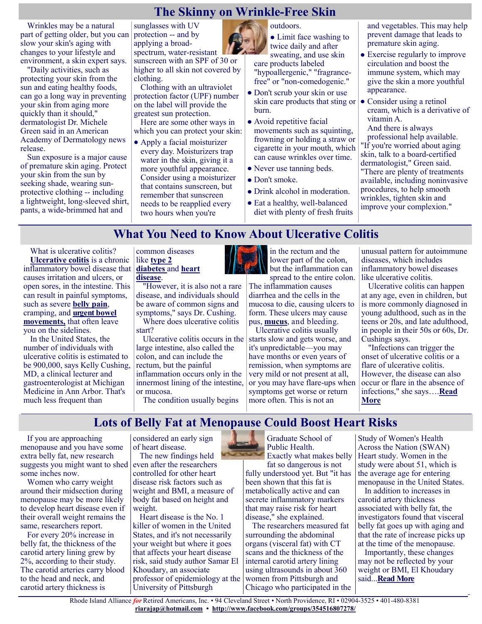#### **The Skinny on Wrinkle-Free Skin**

Wrinkles may be a natural part of getting older, but you can slow your skin's aging with changes to your lifestyle and environment, a skin expert says.

"Daily activities, such as protecting your skin from the sun and eating healthy foods, can go a long way in preventing your skin from aging more quickly than it should," dermatologist Dr. Michele Green said in an American Academy of Dermatology news release.

Sun exposure is a major cause of premature skin aging. Protect your skin from the sun by seeking shade, wearing sunprotective clothing -- including a lightweight, long-sleeved shirt, pants, a wide-brimmed hat and

sunglasses with UV protection -- and by applying a broadspectrum, water-resistant sunscreen with an SPF of 30 or higher to all skin not covered by clothing.

Clothing with an ultraviolet protection factor (UPF) number on the label will provide the greatest sun protection.

Here are some other ways in which you can protect your skin:

Apply a facial moisturizer every day. Moisturizers trap water in the skin, giving it a more youthful appearance. Consider using a moisturizer that contains sunscreen, but remember that sunscreen needs to be reapplied every two hours when you're

outdoors.



twice daily and after sweating, and use skin care products labeled "hypoallergenic," "fragrancefree" or "non-comedogenic."

- Don't scrub your skin or use skin care products that sting or  $\bullet$  Consider using a retinol burn.
- Avoid repetitive facial movements such as squinting, frowning or holding a straw or cigarette in your mouth, which can cause wrinkles over time.
- Never use tanning beds.
- Don't smoke.
- Drink alcohol in moderation.
- Eat a healthy, well-balanced diet with plenty of fresh fruits

and vegetables. This may help prevent damage that leads to premature skin aging.

- Exercise regularly to improve circulation and boost the immune system, which may give the skin a more youthful appearance.
- cream, which is a derivative of vitamin A.

And there is always professional help available. "If you're worried about aging skin, talk to a board-certified dermatologist," Green said. "There are plenty of treatments available, including noninvasive procedures, to help smooth wrinkles, tighten skin and improve your complexion."

# **What You Need to Know About Ulcerative Colitis**

What is ulcerative colitis? **[Ulcerative colitis](https://www.thehealthy.com/digestive-health/ulcerative-colitis-symptoms/)** is a chronic inflammatory bowel disease that causes irritation and ulcers, or open sores, in the intestine. This can result in painful symptoms, such as severe **[belly pain](https://www.thehealthy.com/digestive-health/stomach-pain-causes/)**, cramping, and **urgent bowel [movements,](https://www.thehealthy.com/digestive-health/bowel-movements-health/)** that often leave you on the sidelines.

In the United States, the number of individuals with ulcerative colitis is estimated to be 900,000, says Kelly Cushing, MD, a clinical lecturer and gastroenterologist at Michigan Medicine in Ann Arbor. That's much less frequent than

common diseases like **[type 2](https://www.thehealthy.com/diabetes/type-2-diabetes/signs-diabetes/)  [diabetes](https://www.thehealthy.com/diabetes/type-2-diabetes/signs-diabetes/)** and **[heart](https://www.thehealthy.com/heart-disease/types-of-heart-disease/)  [disease](https://www.thehealthy.com/heart-disease/types-of-heart-disease/)**.

"However, it is also not a rare disease, and individuals should be aware of common signs and symptoms," says Dr. Cushing.

Where does ulcerative colitis start?

Ulcerative colitis occurs in the large intestine, also called the colon, and can include the rectum, but the painful inflammation occurs only in the innermost lining of the intestine, or mucosa.

The condition usually begins

in the rectum and the lower part of the colon, but the inflammation can spread to the entire colon.

The inflammation causes diarrhea and the cells in the mucosa to die, causing ulcers to form. These ulcers may cause pus, **[mucus](https://www.thehealthy.com/digestive-health/mucus-in-stool-whats-normal-whats-not/)**, and bleeding.

Ulcerative colitis usually starts slow and gets worse, and it's unpredictable—you may have months or even years of remission, when symptoms are very mild or not present at all, or you may have flare-ups when symptoms get worse or return more often. This is not an

unusual pattern for autoimmune diseases, which includes inflammatory bowel diseases like ulcerative colitis.

Ulcerative colitis can happen at any age, even in children, but is more commonly diagnosed in young adulthood, such as in the teens or 20s, and late adulthood, in people in their 50s or 60s, Dr. Cushings says.

"Infections can trigger the onset of ulcerative colitis or a flare of ulcerative colitis. However, the disease can also occur or flare in the absence of infections," she says….**[Read](https://www.msn.com/en-us/health/medical/what-you-need-to-know-about-ulcerative-colitis/ar-BB1ehvEV?ocid=SK2DDHP)  [More](https://www.msn.com/en-us/health/medical/what-you-need-to-know-about-ulcerative-colitis/ar-BB1ehvEV?ocid=SK2DDHP)**

### **Lots of Belly Fat at Menopause Could Boost Heart Risks**

If you are approaching menopause and you have some extra belly fat, new research suggests you might want to shed some inches now.

Women who carry weight around their midsection during menopause may be more likely to develop heart disease even if their overall weight remains the same, researchers report.

For every 20% increase in belly fat, the thickness of the carotid artery lining grew by 2%, according to their study. The carotid arteries carry blood to the head and neck, and carotid artery thickness is

considered an early sign of heart disease.

The new findings held even after the researchers controlled for other heart disease risk factors such as weight and BMI, a measure of body fat based on height and weight.

Heart disease is the No. 1 killer of women in the United States, and it's not necessarily your weight but where it goes that affects your heart disease risk, said study author Samar El Khoudary, an associate professor of epidemiology at the University of Pittsburgh

Graduate School of Public Health. Exactly what makes belly

fat so dangerous is not fully understood yet. But "it has been shown that this fat is metabolically active and can secrete inflammatory markers that may raise risk for heart disease," she explained.

The researchers measured fat surrounding the abdominal organs (visceral fat) with CT scans and the thickness of the internal carotid artery lining using ultrasounds in about 360 women from Pittsburgh and Chicago who participated in the Study of Women's Health Across the Nation (SWAN) Heart study. Women in the study were about 51, which is the average age for entering menopause in the United States.

In addition to increases in carotid artery thickness associated with belly fat, the investigators found that visceral belly fat goes up with aging and that the rate of increase picks up at the time of the menopause.

Importantly, these changes may not be reflected by your weight or BMI, El Khoudary said...**[Read More](https://consumer.healthday.com/3-8-adding-belly-fat-around-menopause-culd-boost-heart-risks-2650861450.html)**